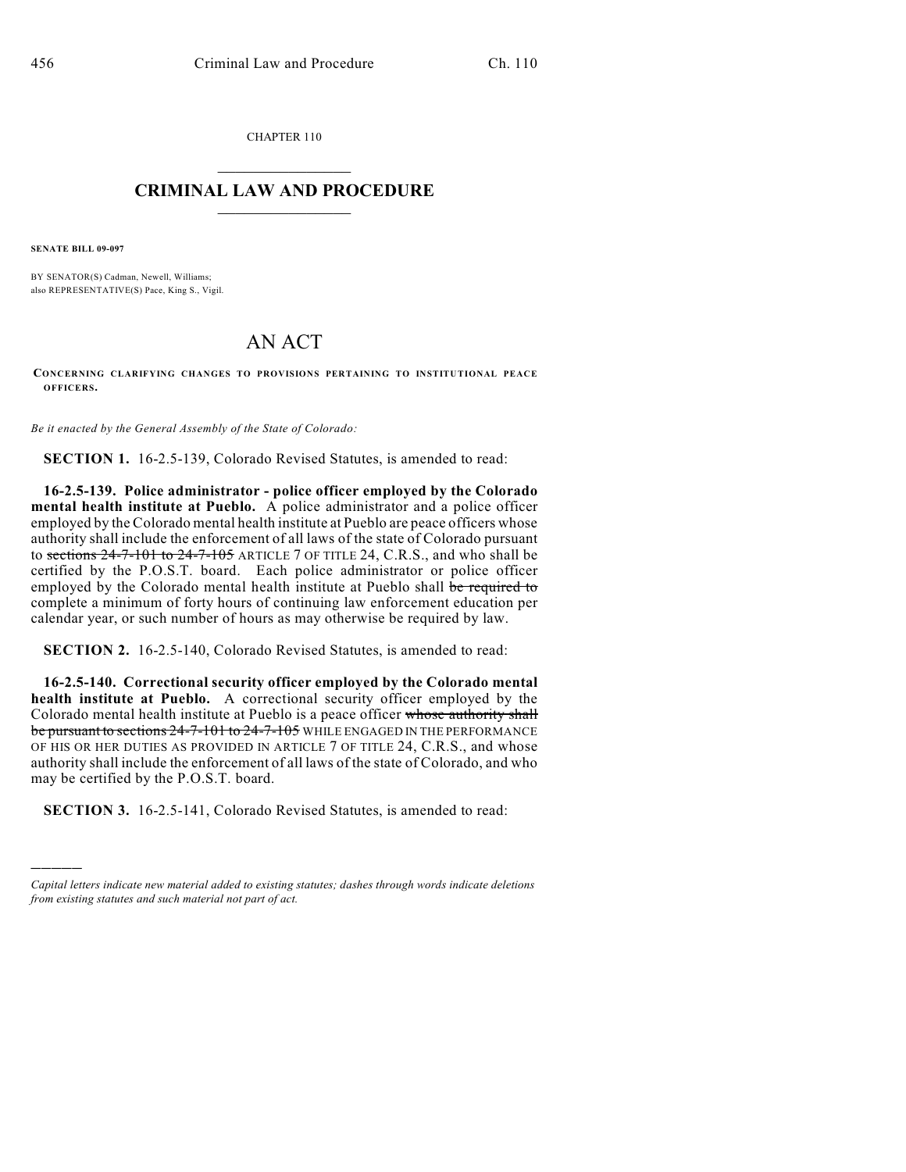CHAPTER 110

## $\overline{\phantom{a}}$  . The set of the set of the set of the set of the set of the set of the set of the set of the set of the set of the set of the set of the set of the set of the set of the set of the set of the set of the set o **CRIMINAL LAW AND PROCEDURE**  $\frac{1}{2}$  ,  $\frac{1}{2}$  ,  $\frac{1}{2}$  ,  $\frac{1}{2}$  ,  $\frac{1}{2}$  ,  $\frac{1}{2}$  ,  $\frac{1}{2}$

**SENATE BILL 09-097**

)))))

BY SENATOR(S) Cadman, Newell, Williams; also REPRESENTATIVE(S) Pace, King S., Vigil.

## AN ACT

**CONCERNING CLARIFYING CHANGES TO PROVISIONS PERTAINING TO INSTITUTIONAL PEACE OFFICERS.**

*Be it enacted by the General Assembly of the State of Colorado:*

**SECTION 1.** 16-2.5-139, Colorado Revised Statutes, is amended to read:

**16-2.5-139. Police administrator - police officer employed by the Colorado mental health institute at Pueblo.** A police administrator and a police officer employed by the Colorado mental health institute at Pueblo are peace officers whose authority shall include the enforcement of all laws of the state of Colorado pursuant to sections  $24-7-101$  to  $24-7-105$  ARTICLE 7 OF TITLE 24, C.R.S., and who shall be certified by the P.O.S.T. board. Each police administrator or police officer employed by the Colorado mental health institute at Pueblo shall be required to complete a minimum of forty hours of continuing law enforcement education per calendar year, or such number of hours as may otherwise be required by law.

**SECTION 2.** 16-2.5-140, Colorado Revised Statutes, is amended to read:

**16-2.5-140. Correctional security officer employed by the Colorado mental health institute at Pueblo.** A correctional security officer employed by the Colorado mental health institute at Pueblo is a peace officer whose authority shall be pursuant to sections 24-7-101 to 24-7-105 WHILE ENGAGED IN THE PERFORMANCE OF HIS OR HER DUTIES AS PROVIDED IN ARTICLE 7 OF TITLE 24, C.R.S., and whose authority shall include the enforcement of all laws of the state of Colorado, and who may be certified by the P.O.S.T. board.

**SECTION 3.** 16-2.5-141, Colorado Revised Statutes, is amended to read:

*Capital letters indicate new material added to existing statutes; dashes through words indicate deletions from existing statutes and such material not part of act.*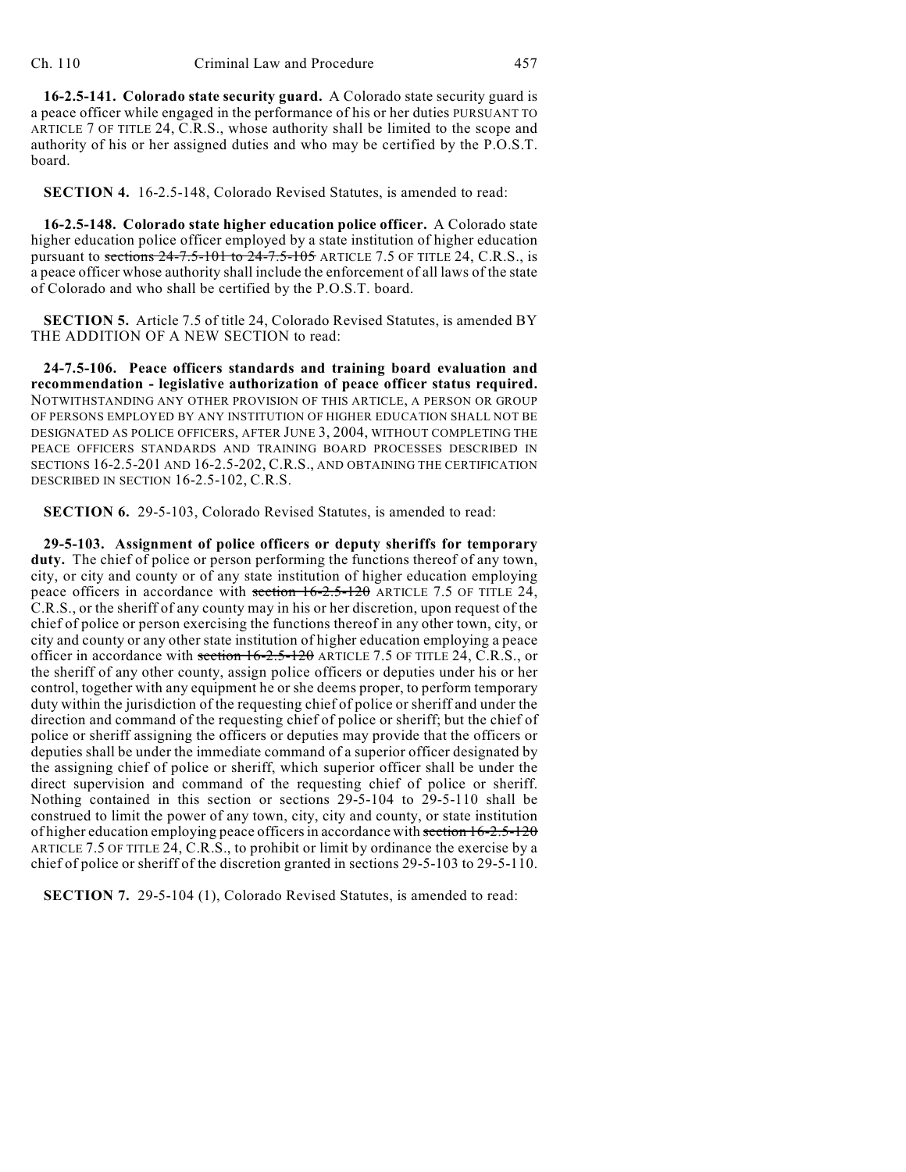**16-2.5-141. Colorado state security guard.** A Colorado state security guard is a peace officer while engaged in the performance of his or her duties PURSUANT TO ARTICLE 7 OF TITLE 24, C.R.S., whose authority shall be limited to the scope and authority of his or her assigned duties and who may be certified by the P.O.S.T. board.

**SECTION 4.** 16-2.5-148, Colorado Revised Statutes, is amended to read:

**16-2.5-148. Colorado state higher education police officer.** A Colorado state higher education police officer employed by a state institution of higher education pursuant to sections  $24-7.5-101$  to  $24-7.5-105$  ARTICLE 7.5 OF TITLE 24, C.R.S., is a peace officer whose authority shall include the enforcement of all laws of the state of Colorado and who shall be certified by the P.O.S.T. board.

**SECTION 5.** Article 7.5 of title 24, Colorado Revised Statutes, is amended BY THE ADDITION OF A NEW SECTION to read:

**24-7.5-106. Peace officers standards and training board evaluation and recommendation - legislative authorization of peace officer status required.** NOTWITHSTANDING ANY OTHER PROVISION OF THIS ARTICLE, A PERSON OR GROUP OF PERSONS EMPLOYED BY ANY INSTITUTION OF HIGHER EDUCATION SHALL NOT BE DESIGNATED AS POLICE OFFICERS, AFTER JUNE 3, 2004, WITHOUT COMPLETING THE PEACE OFFICERS STANDARDS AND TRAINING BOARD PROCESSES DESCRIBED IN SECTIONS 16-2.5-201 AND 16-2.5-202, C.R.S., AND OBTAINING THE CERTIFICATION DESCRIBED IN SECTION 16-2.5-102, C.R.S.

**SECTION 6.** 29-5-103, Colorado Revised Statutes, is amended to read:

**29-5-103. Assignment of police officers or deputy sheriffs for temporary duty.** The chief of police or person performing the functions thereof of any town, city, or city and county or of any state institution of higher education employing peace officers in accordance with section  $16-2.5-120$  ARTICLE 7.5 OF TITLE 24, C.R.S., or the sheriff of any county may in his or her discretion, upon request of the chief of police or person exercising the functions thereof in any other town, city, or city and county or any other state institution of higher education employing a peace officer in accordance with section  $16-2.5-120$  ARTICLE 7.5 OF TITLE 24, C.R.S., or the sheriff of any other county, assign police officers or deputies under his or her control, together with any equipment he or she deems proper, to perform temporary duty within the jurisdiction of the requesting chief of police or sheriff and under the direction and command of the requesting chief of police or sheriff; but the chief of police or sheriff assigning the officers or deputies may provide that the officers or deputies shall be under the immediate command of a superior officer designated by the assigning chief of police or sheriff, which superior officer shall be under the direct supervision and command of the requesting chief of police or sheriff. Nothing contained in this section or sections 29-5-104 to 29-5-110 shall be construed to limit the power of any town, city, city and county, or state institution of higher education employing peace officers in accordance with section  $16-2.5-120$ ARTICLE 7.5 OF TITLE 24, C.R.S., to prohibit or limit by ordinance the exercise by a chief of police or sheriff of the discretion granted in sections 29-5-103 to 29-5-110.

**SECTION 7.** 29-5-104 (1), Colorado Revised Statutes, is amended to read: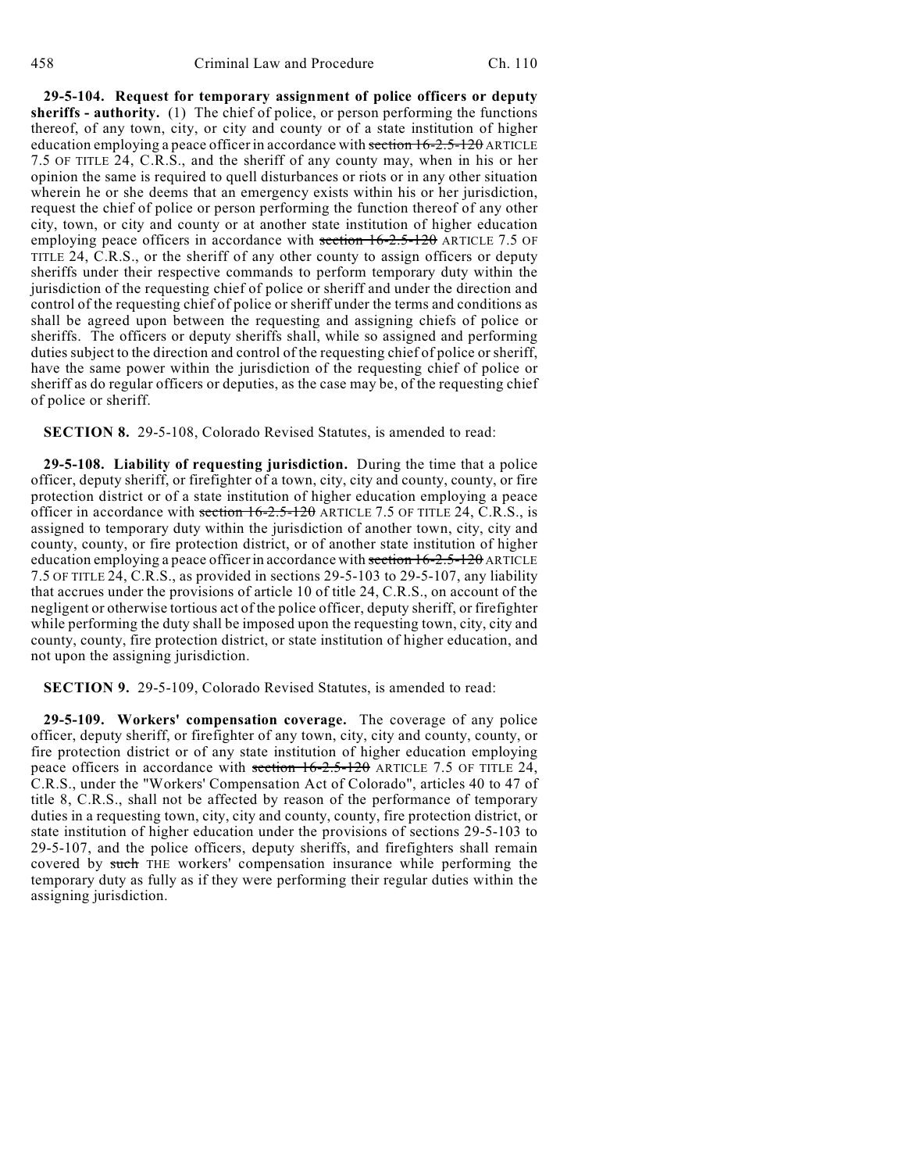**29-5-104. Request for temporary assignment of police officers or deputy sheriffs - authority.** (1) The chief of police, or person performing the functions thereof, of any town, city, or city and county or of a state institution of higher education employing a peace officer in accordance with section 16-2.5-120 ARTICLE 7.5 OF TITLE 24, C.R.S., and the sheriff of any county may, when in his or her opinion the same is required to quell disturbances or riots or in any other situation wherein he or she deems that an emergency exists within his or her jurisdiction, request the chief of police or person performing the function thereof of any other city, town, or city and county or at another state institution of higher education employing peace officers in accordance with section 16-2.5-120 ARTICLE 7.5 OF TITLE 24, C.R.S., or the sheriff of any other county to assign officers or deputy sheriffs under their respective commands to perform temporary duty within the jurisdiction of the requesting chief of police or sheriff and under the direction and control of the requesting chief of police or sheriff under the terms and conditions as shall be agreed upon between the requesting and assigning chiefs of police or sheriffs. The officers or deputy sheriffs shall, while so assigned and performing duties subject to the direction and control of the requesting chief of police or sheriff, have the same power within the jurisdiction of the requesting chief of police or sheriff as do regular officers or deputies, as the case may be, of the requesting chief of police or sheriff.

**SECTION 8.** 29-5-108, Colorado Revised Statutes, is amended to read:

**29-5-108. Liability of requesting jurisdiction.** During the time that a police officer, deputy sheriff, or firefighter of a town, city, city and county, county, or fire protection district or of a state institution of higher education employing a peace officer in accordance with section  $16-2.5-120$  ARTICLE 7.5 OF TITLE 24, C.R.S., is assigned to temporary duty within the jurisdiction of another town, city, city and county, county, or fire protection district, or of another state institution of higher education employing a peace officer in accordance with section 16-2.5-120 ARTICLE 7.5 OF TITLE 24, C.R.S., as provided in sections 29-5-103 to 29-5-107, any liability that accrues under the provisions of article 10 of title 24, C.R.S., on account of the negligent or otherwise tortious act of the police officer, deputy sheriff, or firefighter while performing the duty shall be imposed upon the requesting town, city, city and county, county, fire protection district, or state institution of higher education, and not upon the assigning jurisdiction.

**SECTION 9.** 29-5-109, Colorado Revised Statutes, is amended to read:

**29-5-109. Workers' compensation coverage.** The coverage of any police officer, deputy sheriff, or firefighter of any town, city, city and county, county, or fire protection district or of any state institution of higher education employing peace officers in accordance with section 16-2.5-120 ARTICLE 7.5 OF TITLE 24, C.R.S., under the "Workers' Compensation Act of Colorado", articles 40 to 47 of title 8, C.R.S., shall not be affected by reason of the performance of temporary duties in a requesting town, city, city and county, county, fire protection district, or state institution of higher education under the provisions of sections 29-5-103 to 29-5-107, and the police officers, deputy sheriffs, and firefighters shall remain covered by such THE workers' compensation insurance while performing the temporary duty as fully as if they were performing their regular duties within the assigning jurisdiction.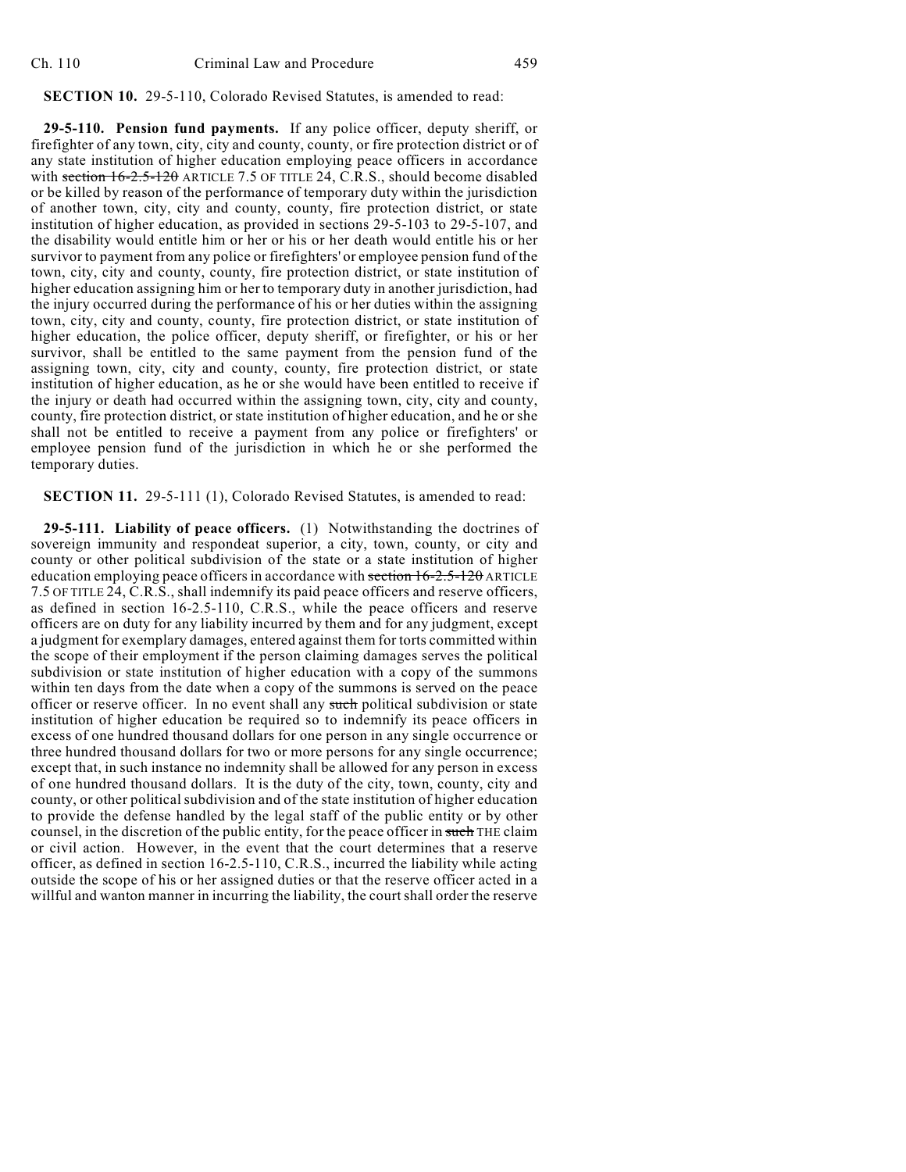## **SECTION 10.** 29-5-110, Colorado Revised Statutes, is amended to read:

**29-5-110. Pension fund payments.** If any police officer, deputy sheriff, or firefighter of any town, city, city and county, county, or fire protection district or of any state institution of higher education employing peace officers in accordance with section  $16-2.5-120$  ARTICLE 7.5 OF TITLE 24, C.R.S., should become disabled or be killed by reason of the performance of temporary duty within the jurisdiction of another town, city, city and county, county, fire protection district, or state institution of higher education, as provided in sections 29-5-103 to 29-5-107, and the disability would entitle him or her or his or her death would entitle his or her survivor to payment from any police or firefighters' or employee pension fund of the town, city, city and county, county, fire protection district, or state institution of higher education assigning him or her to temporary duty in another jurisdiction, had the injury occurred during the performance of his or her duties within the assigning town, city, city and county, county, fire protection district, or state institution of higher education, the police officer, deputy sheriff, or firefighter, or his or her survivor, shall be entitled to the same payment from the pension fund of the assigning town, city, city and county, county, fire protection district, or state institution of higher education, as he or she would have been entitled to receive if the injury or death had occurred within the assigning town, city, city and county, county, fire protection district, or state institution of higher education, and he or she shall not be entitled to receive a payment from any police or firefighters' or employee pension fund of the jurisdiction in which he or she performed the temporary duties.

**SECTION 11.** 29-5-111 (1), Colorado Revised Statutes, is amended to read:

**29-5-111. Liability of peace officers.** (1) Notwithstanding the doctrines of sovereign immunity and respondeat superior, a city, town, county, or city and county or other political subdivision of the state or a state institution of higher education employing peace officers in accordance with section 16-2.5-120 ARTICLE 7.5 OF TITLE 24, C.R.S., shall indemnify its paid peace officers and reserve officers, as defined in section 16-2.5-110, C.R.S., while the peace officers and reserve officers are on duty for any liability incurred by them and for any judgment, except a judgment for exemplary damages, entered against them for torts committed within the scope of their employment if the person claiming damages serves the political subdivision or state institution of higher education with a copy of the summons within ten days from the date when a copy of the summons is served on the peace officer or reserve officer. In no event shall any such political subdivision or state institution of higher education be required so to indemnify its peace officers in excess of one hundred thousand dollars for one person in any single occurrence or three hundred thousand dollars for two or more persons for any single occurrence; except that, in such instance no indemnity shall be allowed for any person in excess of one hundred thousand dollars. It is the duty of the city, town, county, city and county, or other political subdivision and of the state institution of higher education to provide the defense handled by the legal staff of the public entity or by other counsel, in the discretion of the public entity, for the peace officer in such THE claim or civil action. However, in the event that the court determines that a reserve officer, as defined in section 16-2.5-110, C.R.S., incurred the liability while acting outside the scope of his or her assigned duties or that the reserve officer acted in a willful and wanton manner in incurring the liability, the court shall order the reserve